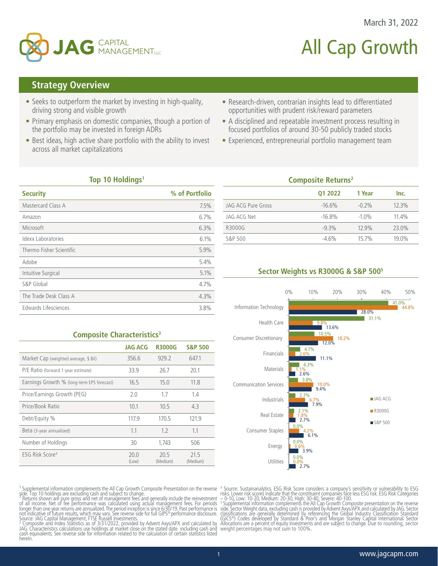

# All Cap Growth

March 31, 2022

# **Strategy Overview**

- Seeks to outperform the market by investing in high-quality, driving strong and visible growth
- Primary emphasis on domestic companies, though a portion of the portfolio may be invested in foreign ADRs
- Best ideas, high active share portfolio with the ability to invest across all market capitalizations
- Research-driven, contrarian insights lead to differentiated opportunities with prudent risk/reward parameters
- A disciplined and repeatable investment process resulting in focused portfolios of around 30-50 publicly traded stocks
- Experienced, entrepreneurial portfolio management team

## **Top 10 Holdings1**

| <b>Security</b>           | % of Portfolio |
|---------------------------|----------------|
| Mastercard Class A        | 7.5%           |
| Amazon                    | 6.7%           |
| Microsoft                 | 6.3%           |
| <b>Idexx Laboratories</b> | 6.1%           |
| Thermo Fisher Scientific  | 5.9%           |
| Adobe                     | 5.4%           |
| Intuitive Surgical        | 5.1%           |
| S&P Global                | 4.7%           |
| The Trade Desk Class A    | 4.3%           |
| Edwards Lifesciences      | 3.8%           |

| <b>Composite Returns<sup>2</sup></b> |          |          |       |  |  |  |
|--------------------------------------|----------|----------|-------|--|--|--|
|                                      | 01 2022  | 1 Year   | Inc.  |  |  |  |
| JAG ACG Pure Gross                   | $-16.6%$ | $-0.2%$  | 12.3% |  |  |  |
| JAG ACG Net                          | $-16.8%$ | $-1.0\%$ | 11.4% |  |  |  |
| R3000G                               | $-9.3%$  | 12.9%    | 23.0% |  |  |  |
| S&P 500                              | $-4.6%$  | 15.7%    | 19.0% |  |  |  |
|                                      |          |          |       |  |  |  |

## **Sector Weights vs R3000G & S&P 5005**



#### **Composite Characteristics<sup>3</sup>**

|                                            | <b>JAG ACG</b> | <b>R3000G</b>    | <b>S&amp;P 500</b> |
|--------------------------------------------|----------------|------------------|--------------------|
| Market Cap (weighted average, \$ Bil)      | 356.6          | 929.2            | 647.1              |
| P/E Ratio (forward 1-year estimate)        | 33.9           | 26.7             | 20.1               |
| Earnings Growth % (long-term EPS forecast) | 16.5           | 15.0             | 11.8               |
| Price/Earnings Growth (PEG)                | 2.0            | 1.7              | 1.4                |
| Price/Book Ratio                           | 10.1           | 10.5             | 4.3                |
| Debt/Equity %                              | 117.9          | 170.5            | 121.9              |
| Beta (3-year annualized)                   | 1.1            | 1.2              | 1.1                |
| Number of Holdings                         | 30             | 1.743            | 506                |
| ESG Risk Score <sup>4</sup>                | 20.0<br>(Low)  | 20.5<br>(Medium) | 21.5<br>(Medium)   |

 $1$  Supplemental information complements the All Cap Growth Composite Presentation on the reverse

side. Top 10 holdings are excluding cash and subject to change.<br><sup>2</sup> Returns shown are pure gross and net of management fees and generally include the reinvestment<br>of all income. Net of fee performance was calculated using

<sup>3</sup> Composite and Index Stătistics as of 3/31/2022, provided by Advent Axys/APX and calculated by<br>JAG. Characteristics calculations use holdings at market close on the stated date including cash and<br>cash equivalents. See herein.

4 Source: Sustainanalytics. ESG Risk Score considers a company's sensitivity or vulnerability to ESG risks. Lower risk scoreś indicate that the constituent companies fáce less ESG fisk. ESG Risk Cátegories<br>— 0-10, Low: 10-20, Medium: 20-30, High: 30-40, Severe: 40-100.<br><sup>5</sup> Supplemental information complements the All Cap

side. Sector Weight data, excluding cash is provided by Advent Axys/APX and calculated by JAG. Sector<br>classifications are generally determined by referencing the Global Industry Classification Standard<br>(GICS®) Codes develo